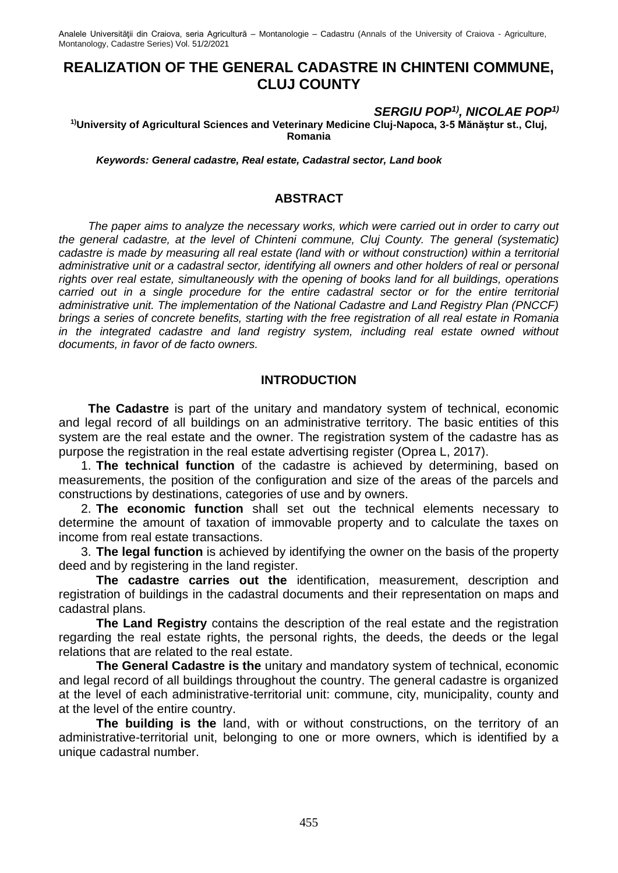Analele Universităţii din Craiova, seria Agricultură – Montanologie – Cadastru (Annals of the University of Craiova - Agriculture, Montanology, Cadastre Series) Vol. 51/2/2021

# **REALIZATION OF THE GENERAL CADASTRE IN CHINTENI COMMUNE, CLUJ COUNTY**

#### *SERGIU POP1) , NICOLAE POP1)*

**1)University of Agricultural Sciences and Veterinary Medicine Cluj-Napoca, 3-5 Mănăștur st., Cluj, Romania**

*Keywords: General cadastre, Real estate, Cadastral sector, Land book*

#### **ABSTRACT**

*The paper aims to analyze the necessary works, which were carried out in order to carry out the general cadastre, at the level of Chinteni commune, Cluj County. The general (systematic) cadastre is made by measuring all real estate (land with or without construction) within a territorial administrative unit or a cadastral sector, identifying all owners and other holders of real or personal rights over real estate, simultaneously with the opening of books land for all buildings, operations carried out in a single procedure for the entire cadastral sector or for the entire territorial administrative unit. The implementation of the National Cadastre and Land Registry Plan (PNCCF) brings a series of concrete benefits, starting with the free registration of all real estate in Romania in the integrated cadastre and land registry system, including real estate owned without documents, in favor of de facto owners.*

#### **INTRODUCTION**

**The Cadastre** is part of the unitary and mandatory system of technical, economic and legal record of all buildings on an administrative territory. The basic entities of this system are the real estate and the owner. The registration system of the cadastre has as purpose the registration in the real estate advertising register (Oprea L, 2017).

1. **The technical function** of the cadastre is achieved by determining, based on measurements, the position of the configuration and size of the areas of the parcels and constructions by destinations, categories of use and by owners.

2. **The economic function** shall set out the technical elements necessary to determine the amount of taxation of immovable property and to calculate the taxes on income from real estate transactions.

3. **The legal function** is achieved by identifying the owner on the basis of the property deed and by registering in the land register.

**The cadastre carries out the** identification, measurement, description and registration of buildings in the cadastral documents and their representation on maps and cadastral plans.

**The Land Registry** contains the description of the real estate and the registration regarding the real estate rights, the personal rights, the deeds, the deeds or the legal relations that are related to the real estate.

**The General Cadastre is the** unitary and mandatory system of technical, economic and legal record of all buildings throughout the country. The general cadastre is organized at the level of each administrative-territorial unit: commune, city, municipality, county and at the level of the entire country.

**The building is the** land, with or without constructions, on the territory of an administrative-territorial unit, belonging to one or more owners, which is identified by a unique cadastral number.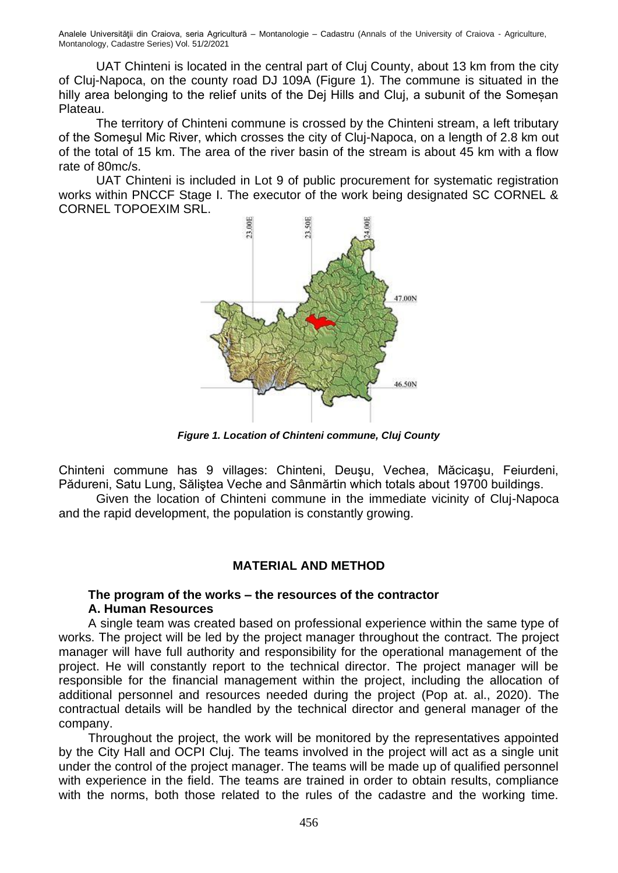Analele Universităţii din Craiova, seria Agricultură – Montanologie – Cadastru (Annals of the University of Craiova - Agriculture, Montanology, Cadastre Series) Vol. 51/2/2021

UAT Chinteni is located in the central part of Cluj County, about 13 km from the city of Cluj-Napoca, on the county road DJ 109A (Figure 1). The commune is situated in the hilly area belonging to the relief units of the Dej Hills and Cluj, a subunit of the Somesan Plateau.

The territory of Chinteni commune is crossed by the Chinteni stream, a left tributary of the Someşul Mic River, which crosses the city of Cluj-Napoca, on a length of 2.8 km out of the total of 15 km. The area of the river basin of the stream is about 45 km with a flow rate of 80mc/s.

UAT Chinteni is included in Lot 9 of public procurement for systematic registration works within PNCCF Stage I. The executor of the work being designated SC CORNEL & CORNEL TOPOEXIM SRL.



*Figure 1. Location of Chinteni commune, Cluj County*

Chinteni commune has 9 villages: Chinteni, Deuşu, Vechea, Măcicaşu, Feiurdeni, Pădureni, Satu Lung, Săliştea Veche and Sânmărtin which totals about 19700 buildings.

Given the location of Chinteni commune in the immediate vicinity of Cluj-Napoca and the rapid development, the population is constantly growing.

# **MATERIAL AND METHOD**

#### **The program of the works – the resources of the contractor A. Human Resources**

A single team was created based on professional experience within the same type of works. The project will be led by the project manager throughout the contract. The project manager will have full authority and responsibility for the operational management of the project. He will constantly report to the technical director. The project manager will be responsible for the financial management within the project, including the allocation of additional personnel and resources needed during the project (Pop at. al., 2020). The contractual details will be handled by the technical director and general manager of the company.

Throughout the project, the work will be monitored by the representatives appointed by the City Hall and OCPI Cluj. The teams involved in the project will act as a single unit under the control of the project manager. The teams will be made up of qualified personnel with experience in the field. The teams are trained in order to obtain results, compliance with the norms, both those related to the rules of the cadastre and the working time.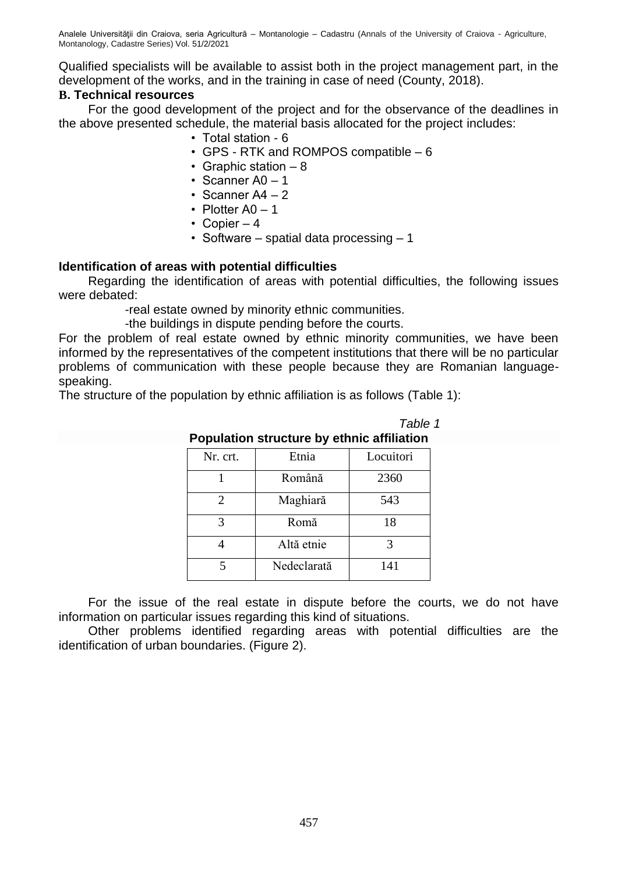Qualified specialists will be available to assist both in the project management part, in the development of the works, and in the training in case of need (County, 2018).

# **B. Technical resources**

For the good development of the project and for the observance of the deadlines in the above presented schedule, the material basis allocated for the project includes:

- Total station 6
- GPS RTK and ROMPOS compatible 6
- Graphic station  $-8$
- Scanner A0 1
- Scanner  $A4 2$
- Plotter  $AO 1$
- Copier  $-4$
- Software spatial data processing 1

#### **Identification of areas with potential difficulties**

Regarding the identification of areas with potential difficulties, the following issues were debated:

-real estate owned by minority ethnic communities.

-the buildings in dispute pending before the courts.

For the problem of real estate owned by ethnic minority communities, we have been informed by the representatives of the competent institutions that there will be no particular problems of communication with these people because they are Romanian languagespeaking.

The structure of the population by ethnic affiliation is as follows (Table 1):

| Population structure by ethnic anniquon |             |           |
|-----------------------------------------|-------------|-----------|
| Nr. crt.                                | Etnia       | Locuitori |
|                                         | Română      | 2360      |
| 2                                       | Maghiară    | 543       |
| 3                                       | Romă        | 18        |
|                                         | Altă etnie  | 3         |
| 5                                       | Nedeclarată | 141       |

 *Table 1* **Population structure by ethnic affiliation**

For the issue of the real estate in dispute before the courts, we do not have information on particular issues regarding this kind of situations.

Other problems identified regarding areas with potential difficulties are the identification of urban boundaries. (Figure 2).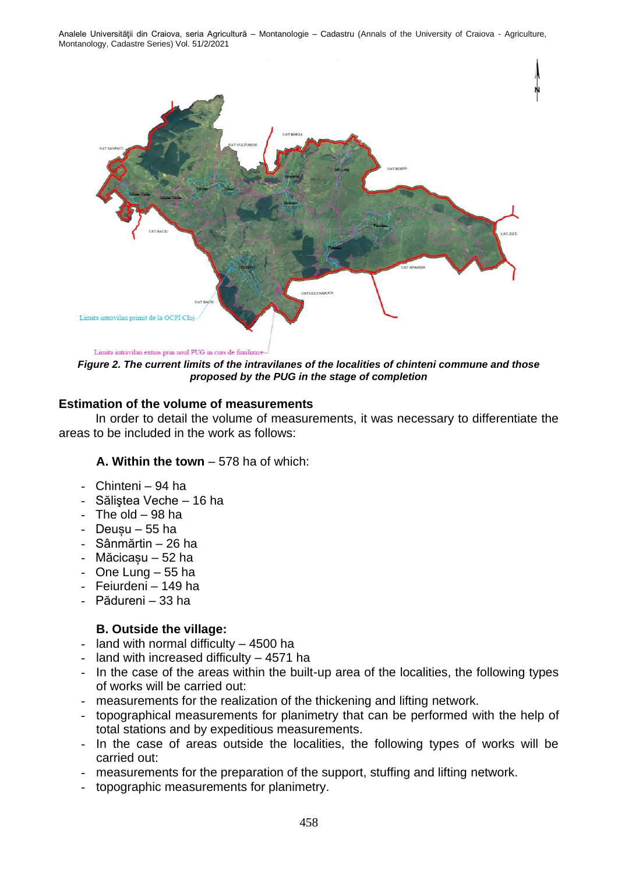Analele Universităţii din Craiova, seria Agricultură – Montanologie – Cadastru (Annals of the University of Craiova - Agriculture, Montanology, Cadastre Series) Vol. 51/2/2021



*Figure 2. The current limits of the intravilanes of the localities of chinteni commune and those proposed by the PUG in the stage of completion*

#### **Estimation of the volume of measurements**

In order to detail the volume of measurements, it was necessary to differentiate the areas to be included in the work as follows:

#### **A. Within the town** – 578 ha of which:

- Chinteni 94 ha
- Săliştea Veche 16 ha
- The old  $-98$  ha
- $-$  Deusu 55 ha
- Sânmărtin 26 ha
- Măcicașu 52 ha
- One Lung 55 ha
- Feiurdeni 149 ha
- Pădureni 33 ha

#### **B. Outside the village:**

- land with normal difficulty 4500 ha
- land with increased difficulty 4571 ha
- In the case of the areas within the built-up area of the localities, the following types of works will be carried out:
- measurements for the realization of the thickening and lifting network.
- topographical measurements for planimetry that can be performed with the help of total stations and by expeditious measurements.
- In the case of areas outside the localities, the following types of works will be carried out:
- measurements for the preparation of the support, stuffing and lifting network.
- topographic measurements for planimetry.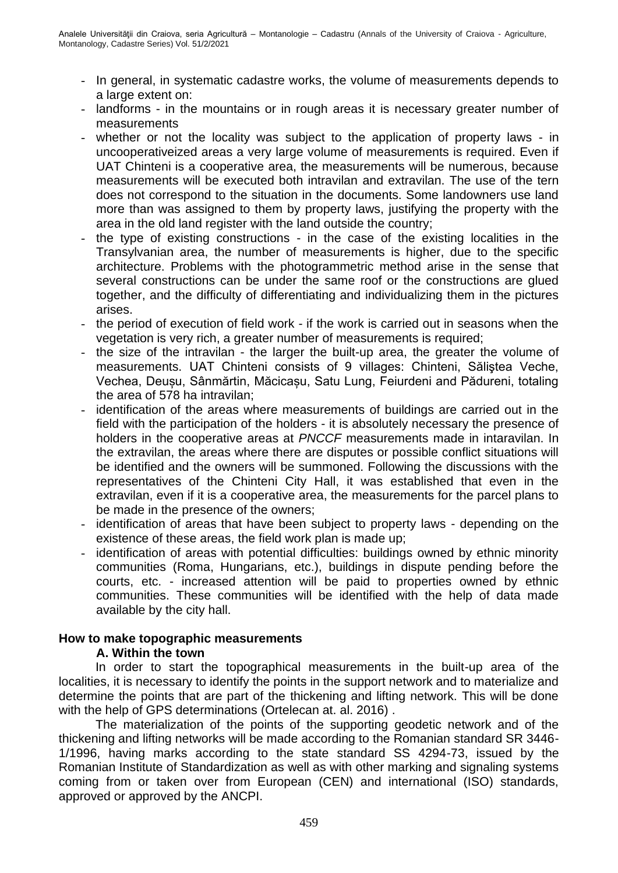- In general, in systematic cadastre works, the volume of measurements depends to a large extent on:
- landforms in the mountains or in rough areas it is necessary greater number of measurements
- whether or not the locality was subject to the application of property laws in uncooperativeized areas a very large volume of measurements is required. Even if UAT Chinteni is a cooperative area, the measurements will be numerous, because measurements will be executed both intravilan and extravilan. The use of the tern does not correspond to the situation in the documents. Some landowners use land more than was assigned to them by property laws, justifying the property with the area in the old land register with the land outside the country;
- the type of existing constructions in the case of the existing localities in the Transylvanian area, the number of measurements is higher, due to the specific architecture. Problems with the photogrammetric method arise in the sense that several constructions can be under the same roof or the constructions are glued together, and the difficulty of differentiating and individualizing them in the pictures arises.
- the period of execution of field work if the work is carried out in seasons when the vegetation is very rich, a greater number of measurements is required;
- the size of the intravilan the larger the built-up area, the greater the volume of measurements. UAT Chinteni consists of 9 villages: Chinteni, Săliştea Veche, Vechea, Deușu, Sânmărtin, Măcicașu, Satu Lung, Feiurdeni and Pădureni, totaling the area of 578 ha intravilan;
- identification of the areas where measurements of buildings are carried out in the field with the participation of the holders - it is absolutely necessary the presence of holders in the cooperative areas at *PNCCF* measurements made in intaravilan. In the extravilan, the areas where there are disputes or possible conflict situations will be identified and the owners will be summoned. Following the discussions with the representatives of the Chinteni City Hall, it was established that even in the extravilan, even if it is a cooperative area, the measurements for the parcel plans to be made in the presence of the owners;
- identification of areas that have been subject to property laws depending on the existence of these areas, the field work plan is made up;
- identification of areas with potential difficulties: buildings owned by ethnic minority communities (Roma, Hungarians, etc.), buildings in dispute pending before the courts, etc. - increased attention will be paid to properties owned by ethnic communities. These communities will be identified with the help of data made available by the city hall.

# **How to make topographic measurements**

#### **A. Within the town**

In order to start the topographical measurements in the built-up area of the localities, it is necessary to identify the points in the support network and to materialize and determine the points that are part of the thickening and lifting network. This will be done with the help of GPS determinations (Ortelecan at. al. 2016) .

The materialization of the points of the supporting geodetic network and of the thickening and lifting networks will be made according to the Romanian standard SR 3446- 1/1996, having marks according to the state standard SS 4294-73, issued by the Romanian Institute of Standardization as well as with other marking and signaling systems coming from or taken over from European (CEN) and international (ISO) standards, approved or approved by the ANCPI.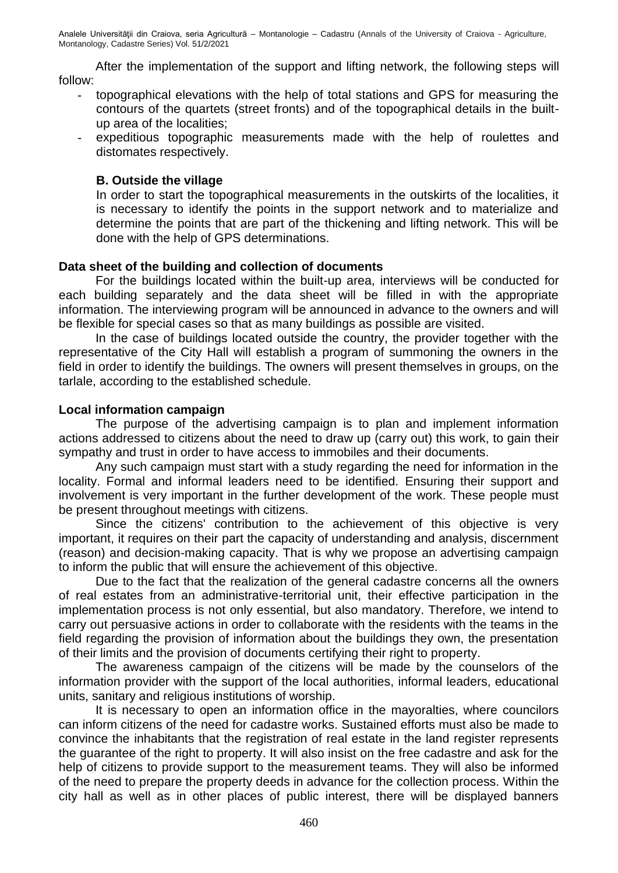After the implementation of the support and lifting network, the following steps will follow:

- topographical elevations with the help of total stations and GPS for measuring the contours of the quartets (street fronts) and of the topographical details in the builtup area of the localities;
- expeditious topographic measurements made with the help of roulettes and distomates respectively.

## **B. Outside the village**

In order to start the topographical measurements in the outskirts of the localities, it is necessary to identify the points in the support network and to materialize and determine the points that are part of the thickening and lifting network. This will be done with the help of GPS determinations.

## **Data sheet of the building and collection of documents**

For the buildings located within the built-up area, interviews will be conducted for each building separately and the data sheet will be filled in with the appropriate information. The interviewing program will be announced in advance to the owners and will be flexible for special cases so that as many buildings as possible are visited.

In the case of buildings located outside the country, the provider together with the representative of the City Hall will establish a program of summoning the owners in the field in order to identify the buildings. The owners will present themselves in groups, on the tarlale, according to the established schedule.

## **Local information campaign**

The purpose of the advertising campaign is to plan and implement information actions addressed to citizens about the need to draw up (carry out) this work, to gain their sympathy and trust in order to have access to immobiles and their documents.

Any such campaign must start with a study regarding the need for information in the locality. Formal and informal leaders need to be identified. Ensuring their support and involvement is very important in the further development of the work. These people must be present throughout meetings with citizens.

Since the citizens' contribution to the achievement of this objective is very important, it requires on their part the capacity of understanding and analysis, discernment (reason) and decision-making capacity. That is why we propose an advertising campaign to inform the public that will ensure the achievement of this objective.

Due to the fact that the realization of the general cadastre concerns all the owners of real estates from an administrative-territorial unit, their effective participation in the implementation process is not only essential, but also mandatory. Therefore, we intend to carry out persuasive actions in order to collaborate with the residents with the teams in the field regarding the provision of information about the buildings they own, the presentation of their limits and the provision of documents certifying their right to property.

The awareness campaign of the citizens will be made by the counselors of the information provider with the support of the local authorities, informal leaders, educational units, sanitary and religious institutions of worship.

It is necessary to open an information office in the mayoralties, where councilors can inform citizens of the need for cadastre works. Sustained efforts must also be made to convince the inhabitants that the registration of real estate in the land register represents the guarantee of the right to property. It will also insist on the free cadastre and ask for the help of citizens to provide support to the measurement teams. They will also be informed of the need to prepare the property deeds in advance for the collection process. Within the city hall as well as in other places of public interest, there will be displayed banners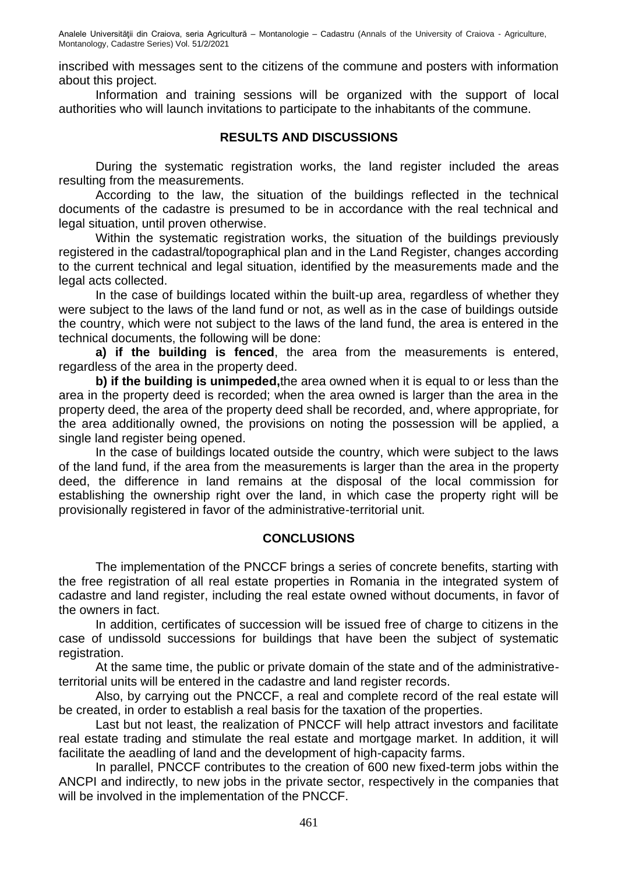inscribed with messages sent to the citizens of the commune and posters with information about this project.

Information and training sessions will be organized with the support of local authorities who will launch invitations to participate to the inhabitants of the commune.

#### **RESULTS AND DISCUSSIONS**

During the systematic registration works, the land register included the areas resulting from the measurements.

According to the law, the situation of the buildings reflected in the technical documents of the cadastre is presumed to be in accordance with the real technical and legal situation, until proven otherwise.

Within the systematic registration works, the situation of the buildings previously registered in the cadastral/topographical plan and in the Land Register, changes according to the current technical and legal situation, identified by the measurements made and the legal acts collected.

In the case of buildings located within the built-up area, regardless of whether they were subject to the laws of the land fund or not, as well as in the case of buildings outside the country, which were not subject to the laws of the land fund, the area is entered in the technical documents, the following will be done:

**a) if the building is fenced**, the area from the measurements is entered, regardless of the area in the property deed.

**b) if the building is unimpeded,**the area owned when it is equal to or less than the area in the property deed is recorded; when the area owned is larger than the area in the property deed, the area of the property deed shall be recorded, and, where appropriate, for the area additionally owned, the provisions on noting the possession will be applied, a single land register being opened.

In the case of buildings located outside the country, which were subject to the laws of the land fund, if the area from the measurements is larger than the area in the property deed, the difference in land remains at the disposal of the local commission for establishing the ownership right over the land, in which case the property right will be provisionally registered in favor of the administrative-territorial unit.

#### **CONCLUSIONS**

The implementation of the PNCCF brings a series of concrete benefits, starting with the free registration of all real estate properties in Romania in the integrated system of cadastre and land register, including the real estate owned without documents, in favor of the owners in fact.

In addition, certificates of succession will be issued free of charge to citizens in the case of undissold successions for buildings that have been the subject of systematic registration.

At the same time, the public or private domain of the state and of the administrativeterritorial units will be entered in the cadastre and land register records.

Also, by carrying out the PNCCF, a real and complete record of the real estate will be created, in order to establish a real basis for the taxation of the properties.

Last but not least, the realization of PNCCF will help attract investors and facilitate real estate trading and stimulate the real estate and mortgage market. In addition, it will facilitate the aeadling of land and the development of high-capacity farms.

In parallel, PNCCF contributes to the creation of 600 new fixed-term jobs within the ANCPI and indirectly, to new jobs in the private sector, respectively in the companies that will be involved in the implementation of the PNCCF.